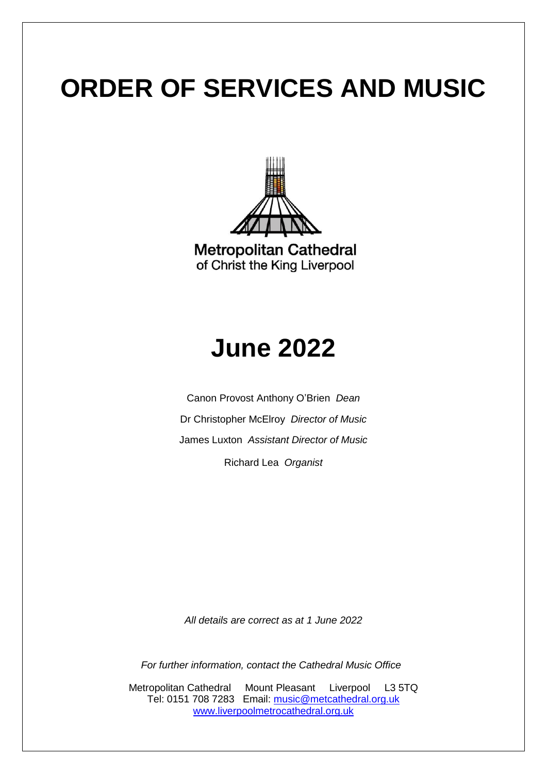

**Metropolitan Cathedral** of Christ the King Liverpool

## **June 2022**

Canon Provost Anthony O'Brien *Dean* Dr Christopher McElroy *Director of Music* James Luxton *Assistant Director of Music* Richard Lea *Organist*

*All details are correct as at 1 June 2022*

*For further information, contact the Cathedral Music Office*

Metropolitan Cathedral Mount Pleasant Liverpool L3 5TQ Tel: 0151 708 7283 Email: [music@metcathedral.org.uk](mailto:music@metcathedral.org.uk) [www.liverpoolmetrocathedral.org.uk](http://www.liverpoolmetrocathedral.org.uk/)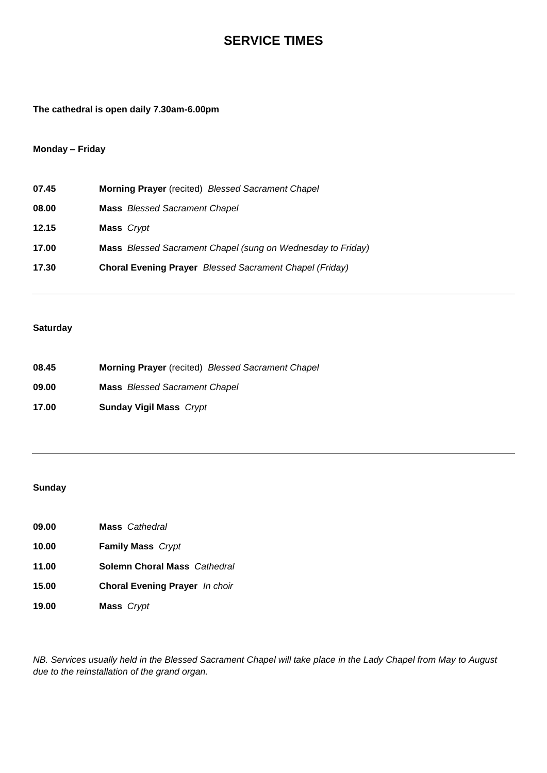### **SERVICE TIMES**

**The cathedral is open daily 7.30am-6.00pm**

#### **Monday – Friday**

| 07.45 | Morning Prayer (recited) Blessed Sacrament Chapel              |
|-------|----------------------------------------------------------------|
| 08.00 | <b>Mass</b> Blessed Sacrament Chapel                           |
| 12.15 | Mass Crypt                                                     |
| 17.00 | Mass Blessed Sacrament Chapel (sung on Wednesday to Friday)    |
| 17.30 | <b>Choral Evening Prayer</b> Blessed Sacrament Chapel (Friday) |
|       |                                                                |

#### **Saturday**

| 08.45 | <b>Morning Prayer</b> (recited) Blessed Sacrament Chapel |
|-------|----------------------------------------------------------|
| 09.00 | <b>Mass</b> Blessed Sacrament Chapel                     |
| 17.00 | <b>Sunday Vigil Mass</b> Crypt                           |

#### **Sunday**

- **09.00 Mass** *Cathedral*
- **10.00 Family Mass** *Crypt*
- **11.00 Solemn Choral Mass** *Cathedral*
- **15.00 Choral Evening Prayer** *In choir*
- **19.00 Mass** *Crypt*

*NB. Services usually held in the Blessed Sacrament Chapel will take place in the Lady Chapel from May to August due to the reinstallation of the grand organ.*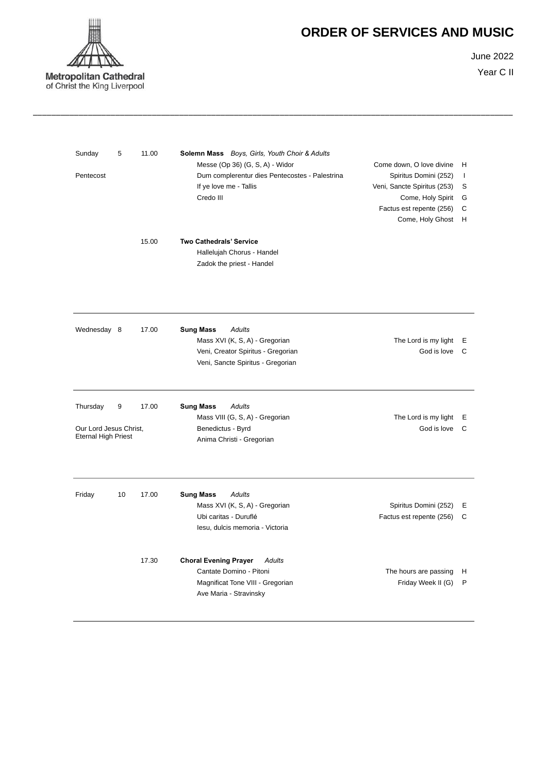

June 2022 Year C II

| Sunday<br>Pentecost                                              | 5  | 11.00 | Solemn Mass Boys, Girls, Youth Choir & Adults<br>Messe (Op 36) (G, S, A) - Widor<br>Dum complerentur dies Pentecostes - Palestrina<br>If ye love me - Tallis<br>Credo III | Come down, O love divine<br>Spiritus Domini (252)<br>Veni, Sancte Spiritus (253)<br>Come, Holy Spirit | Н<br>$\mathbf{I}$<br>S<br>G |
|------------------------------------------------------------------|----|-------|---------------------------------------------------------------------------------------------------------------------------------------------------------------------------|-------------------------------------------------------------------------------------------------------|-----------------------------|
|                                                                  |    | 15.00 | <b>Two Cathedrals' Service</b><br>Hallelujah Chorus - Handel<br>Zadok the priest - Handel                                                                                 | Factus est repente (256)<br>Come, Holy Ghost                                                          | C<br>H                      |
| Wednesday 8                                                      |    | 17.00 | <b>Sung Mass</b><br><b>Adults</b><br>Mass XVI (K, S, A) - Gregorian<br>Veni, Creator Spiritus - Gregorian<br>Veni, Sancte Spiritus - Gregorian                            | The Lord is my light<br>God is love                                                                   | E<br>$\mathsf{C}$           |
| Thursday<br>Our Lord Jesus Christ,<br><b>Eternal High Priest</b> | 9  | 17.00 | <b>Adults</b><br><b>Sung Mass</b><br>Mass VIII (G, S, A) - Gregorian<br>Benedictus - Byrd<br>Anima Christi - Gregorian                                                    | The Lord is my light<br>God is love                                                                   | Е<br>C                      |
| Friday                                                           | 10 | 17.00 | <b>Sung Mass</b><br><b>Adults</b><br>Mass XVI (K, S, A) - Gregorian<br>Ubi caritas - Duruflé<br>Iesu, dulcis memoria - Victoria                                           | Spiritus Domini (252)<br>Factus est repente (256)                                                     | Е<br>C                      |
|                                                                  |    | 17.30 | <b>Choral Evening Prayer</b><br><b>Adults</b><br>Cantate Domino - Pitoni<br>Magnificat Tone VIII - Gregorian<br>Ave Maria - Stravinsky                                    | The hours are passing<br>Friday Week II (G)                                                           | Н<br>P                      |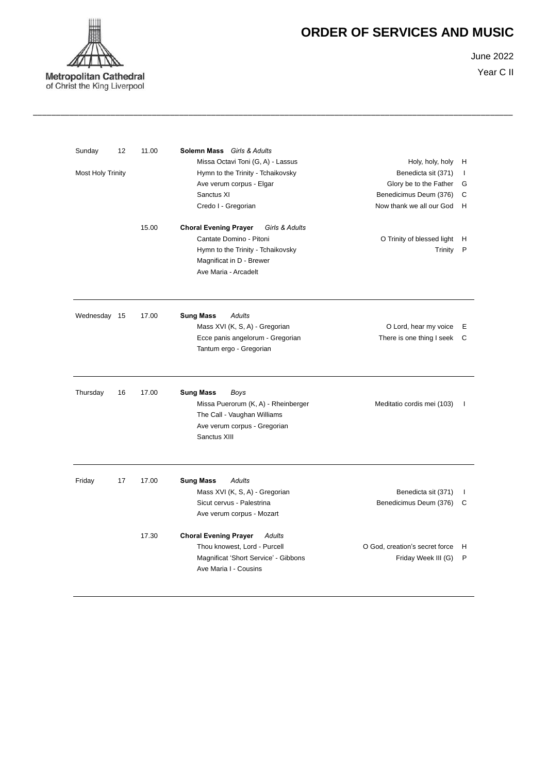

June 2022

Year C II

| Sunday       | 12                       | 11.00 | Solemn Mass Girls & Adults                     |                                |    |
|--------------|--------------------------|-------|------------------------------------------------|--------------------------------|----|
|              |                          |       | Missa Octavi Toni (G, A) - Lassus              | Holy, holy, holy               | н  |
|              | <b>Most Holy Trinity</b> |       | Hymn to the Trinity - Tchaikovsky              | Benedicta sit (371)            | T  |
|              |                          |       | Ave verum corpus - Elgar                       | Glory be to the Father         | G  |
|              |                          |       | Sanctus XI                                     | Benedicimus Deum (376)         | C  |
|              |                          |       | Credo I - Gregorian                            | Now thank we all our God       | H  |
|              |                          | 15.00 | <b>Choral Evening Prayer</b><br>Girls & Adults |                                |    |
|              |                          |       | Cantate Domino - Pitoni                        | O Trinity of blessed light     | н  |
|              |                          |       | Hymn to the Trinity - Tchaikovsky              | Trinity                        | P  |
|              |                          |       | Magnificat in D - Brewer                       |                                |    |
|              |                          |       | Ave Maria - Arcadelt                           |                                |    |
| Wednesday 15 |                          | 17.00 | <b>Sung Mass</b><br>Adults                     |                                |    |
|              |                          |       | Mass XVI (K, S, A) - Gregorian                 | O Lord, hear my voice          | Е  |
|              |                          |       | Ecce panis angelorum - Gregorian               | There is one thing I seek      | С  |
|              |                          |       | Tantum ergo - Gregorian                        |                                |    |
| Thursday     | 16                       | 17.00 | <b>Sung Mass</b><br>Boys                       |                                |    |
|              |                          |       | Missa Puerorum (K, A) - Rheinberger            | Meditatio cordis mei (103)     | J. |
|              |                          |       | The Call - Vaughan Williams                    |                                |    |
|              |                          |       | Ave verum corpus - Gregorian                   |                                |    |
|              |                          |       | Sanctus XIII                                   |                                |    |
| Friday       | 17                       | 17.00 | <b>Sung Mass</b><br>Adults                     |                                |    |
|              |                          |       | Mass XVI (K, S, A) - Gregorian                 | Benedicta sit (371)            | J. |
|              |                          |       | Sicut cervus - Palestrina                      | Benedicimus Deum (376)         | С  |
|              |                          |       | Ave verum corpus - Mozart                      |                                |    |
|              |                          | 17.30 | <b>Choral Evening Prayer</b><br>Adults         |                                |    |
|              |                          |       | Thou knowest, Lord - Purcell                   | O God, creation's secret force | н  |
|              |                          |       | Magnificat 'Short Service' - Gibbons           | Friday Week III (G)            | P  |
|              |                          |       | Ave Maria I - Cousins                          |                                |    |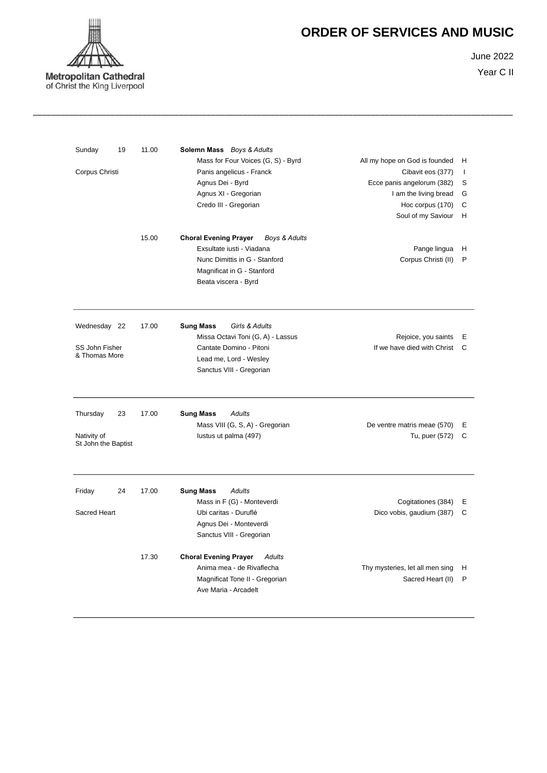

June 2022 Year C II

| Sunday                             | 19 | 11.00 | Solemn Mass Boys & Adults<br>Mass for Four Voices (G, S) - Byrd | All my hope on God is founded   | н            |
|------------------------------------|----|-------|-----------------------------------------------------------------|---------------------------------|--------------|
| Corpus Christi                     |    |       | Panis angelicus - Franck                                        | Cibavit eos (377)               | $\mathbf{I}$ |
|                                    |    |       | Agnus Dei - Byrd                                                | Ecce panis angelorum (382)      | S            |
|                                    |    |       | Agnus XI - Gregorian                                            | I am the living bread           | G            |
|                                    |    |       | Credo III - Gregorian                                           | Hoc corpus (170)                | C            |
|                                    |    |       |                                                                 | Soul of my Saviour              | H            |
|                                    |    | 15.00 | <b>Choral Evening Prayer</b><br>Boys & Adults                   |                                 |              |
|                                    |    |       | Exsultate iusti - Viadana                                       | Pange lingua                    | H            |
|                                    |    |       | Nunc Dimittis in G - Stanford                                   | Corpus Christi (II)             | P            |
|                                    |    |       | Magnificat in G - Stanford                                      |                                 |              |
|                                    |    |       | Beata viscera - Byrd                                            |                                 |              |
| Wednesday 22                       |    | 17.00 | <b>Sung Mass</b><br>Girls & Adults                              |                                 |              |
|                                    |    |       | Missa Octavi Toni (G, A) - Lassus                               | Rejoice, you saints             | Ε            |
| SS John Fisher<br>& Thomas More    |    |       | Cantate Domino - Pitoni                                         | If we have died with Christ     | C            |
|                                    |    |       | Lead me, Lord - Wesley                                          |                                 |              |
|                                    |    |       | Sanctus VIII - Gregorian                                        |                                 |              |
| Thursday                           | 23 | 17.00 | <b>Sung Mass</b><br>Adults                                      |                                 |              |
|                                    |    |       | Mass VIII (G, S, A) - Gregorian                                 | De ventre matris meae (570)     | Ε            |
| Nativity of<br>St John the Baptist |    |       | lustus ut palma (497)                                           | Tu, puer (572)                  | C            |
| Friday                             | 24 | 17.00 | <b>Sung Mass</b><br>Adults                                      |                                 |              |
|                                    |    |       | Mass in F (G) - Monteverdi                                      | Cogitationes (384)              | Ε            |
| Sacred Heart                       |    |       | Ubi caritas - Duruflé                                           | Dico vobis, gaudium (387)       | C            |
|                                    |    |       | Agnus Dei - Monteverdi<br>Sanctus VIII - Gregorian              |                                 |              |
|                                    |    | 17.30 | <b>Choral Evening Prayer</b><br><b>Adults</b>                   |                                 |              |
|                                    |    |       | Anima mea - de Rivaflecha                                       | Thy mysteries, let all men sing | н            |
|                                    |    |       | Magnificat Tone II - Gregorian                                  | Sacred Heart (II)               | P            |
|                                    |    |       | Ave Maria - Arcadelt                                            |                                 |              |